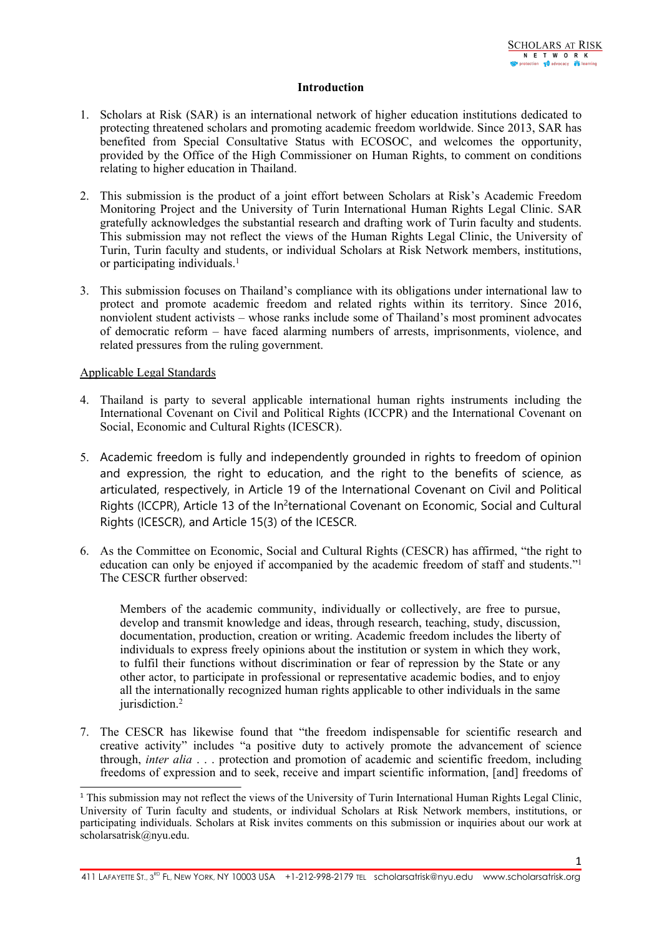1

#### **Introduction**

- 1. Scholars at Risk (SAR) is an international network of higher education institutions dedicated to protecting threatened scholars and promoting academic freedom worldwide. Since 2013, SAR has benefited from Special Consultative Status with ECOSOC, and welcomes the opportunity, provided by the Office of the High Commissioner on Human Rights, to comment on conditions relating to higher education in Thailand.
- 2. This submission is the product of <sup>a</sup> joint effort between Scholars at Risk'<sup>s</sup> Academic Freedom Monitoring Project and the University of Turin International Human Rights Legal Clinic. SAR gratefully acknowledges the substantial research and drafting work of Turin faculty and students. This submission may not reflect the views of the Human Rights Legal Clinic, the University of Turin, Turin faculty and students, or individual Scholars at Risk Network members, institutions, or participating individuals. 1
- 3. This submission focuses on Thailand'<sup>s</sup> compliance with its obligations under international law to protect and promote academic freedom and related rights within its territory. Since 2016, nonviolent student activists – whose ranks include some of Thailand'<sup>s</sup> most prominent advocates of democratic reform – have faced alarming numbers of arrests, imprisonments, violence, and related pressures from the ruling government.

# Applicable Legal Standards

- 4. Thailand is party to several applicable international human rights instruments including the International Covenant on Civil and Political Rights (ICCPR) and the International Covenant on Social, Economic and Cultural Rights (ICESCR).
- 5. Academic freedom is fully and independently grounded in rights to freedom of opinion and expression, the right to education, and the right to the benefits of science, as articulated, respectively, in Article 19 of the International Covenant on Civil and Political Rights (ICCPR), Article 13 of the In<sup>2</sup>ternational Covenant on Economic, Social and Cultural Rights (ICESCR), and Article 15(3) of the ICESCR.
- 6. As the Committee on Economic, Social and Cultural Rights (CESCR) has affirmed, "the right to education can only be enjoyed if accompanied by the academic freedom of staff and students."<sup>1</sup> The CESCR further observed:

Members of the academic community, individually or collectively, are free to pursue, develop and transmit knowledge and ideas, through research, teaching, study, discussion, documentation, production, creation or writing. Academic freedom includes the liberty of individuals to express freely opinions about the institution or system in which they work, to fulfil their functions without discrimination or fear of repression by the State or any other actor, to participate in professional or representative academic bodies, and to enjoy all the internationally recognized human rights applicable to other individuals in the same jurisdiction. 2

7. The CESCR has likewise found that "the freedom indispensable for scientific research and creative activity" includes "<sup>a</sup> positive duty to actively promote the advancement of science through, *inter alia* . . . protection and promotion of academic and scientific freedom, including freedoms of expression and to seek, receive and impart scientific information, [and] freedoms of

<sup>&</sup>lt;sup>1</sup> This submission may not reflect the views of the University of Turin International Human Rights Legal Clinic, University of Turin faculty and students, or individual Scholars at Risk Network members, institutions, or participating individuals. Scholars at Risk invites comments on this submission or inquiries about our work at scholarsatrisk@nyu.edu.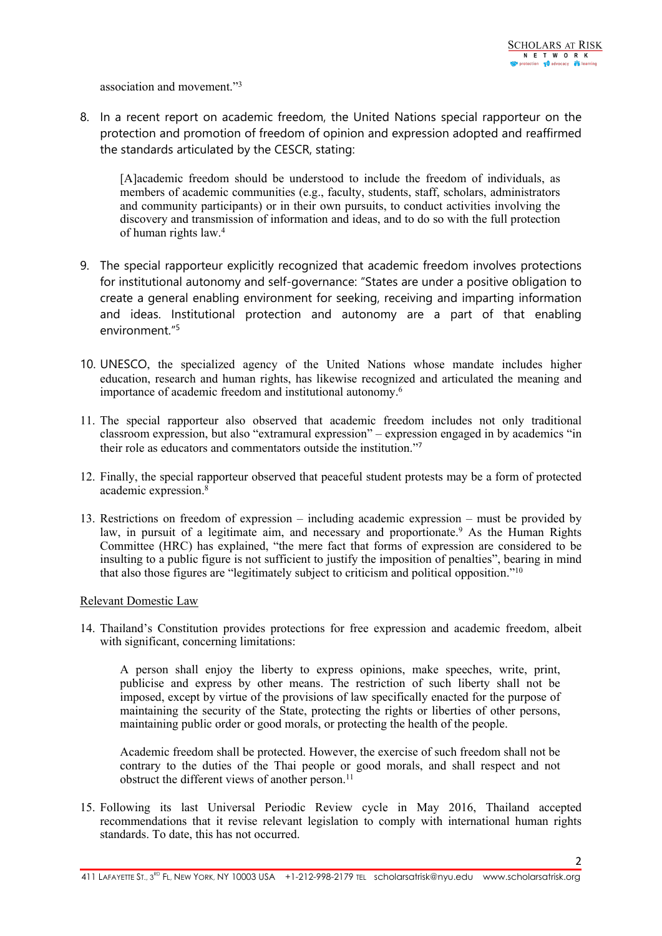association and movement."<sup>3</sup>

8. In <sup>a</sup> recent report on academic freedom, the United Nations special rapporteur on the protection and promotion of freedom of opinion and expression adopted and reaffirmed the standards articulated by the CESCR, stating:

[A]academic freedom should be understood to include the freedom of individuals, as members of academic communities (e.g., faculty, students, staff, scholars, administrators and community participants) or in their own pursuits, to conduct activities involving the discovery and transmission of information and ideas, and to do so with the full protection of human rights law. 4

- 9. The special rapporteur explicitly recognized that academic freedom involves protections for institutional autonomy and self-governance: "States are under <sup>a</sup> positive obligation to create <sup>a</sup> general enabling environment for seeking, receiving and imparting information and ideas. Institutional protection and autonomy are <sup>a</sup> part of that enabling environment." 5
- 10. UNESCO, the specialized agency of the United Nations whose mandate includes higher education, research and human rights, has likewise recognized and articulated the meaning and importance of academic freedom and institutional autonomy. 6
- 11. The special rapporteur also observed that academic freedom includes not only traditional classroom expression, but also "extramural expression" – expression engaged in by academics "in their role as educators and commentators outside the institution."<sup>7</sup>
- 12. Finally, the special rapporteur observed that peaceful student protests may be <sup>a</sup> form of protected academic expression. 8
- 13. Restrictions on freedom of expression including academic expression must be provided by law, in pursuit of <sup>a</sup> legitimate aim, and necessary and proportionate. <sup>9</sup> As the Human Rights Committee (HRC) has explained, "the mere fact that forms of expression are considered to be insulting to <sup>a</sup> public figure is not sufficient to justify the imposition of penalties", bearing in mind that also those figures are "legitimately subject to criticism and political opposition."<sup>10</sup>

# Relevant Domestic Law

14. Thailand'<sup>s</sup> Constitution provides protections for free expression and academic freedom, albeit with significant, concerning limitations:

A person shall enjoy the liberty to express opinions, make speeches, write, print, publicise and express by other means. The restriction of such liberty shall not be imposed, excep<sup>t</sup> by virtue of the provisions of law specifically enacted for the purpose of maintaining the security of the State, protecting the rights or liberties of other persons, maintaining public order or good morals, or protecting the health of the people.

Academic freedom shall be protected. However, the exercise of such freedom shall not be contrary to the duties of the Thai people or good morals, and shall respec<sup>t</sup> and not obstruct the different views of another person.<sup>11</sup>

15. Following its last Universal Periodic Review cycle in May 2016, Thailand accepted recommendations that it revise relevant legislation to comply with international human rights standards. To date, this has not occurred.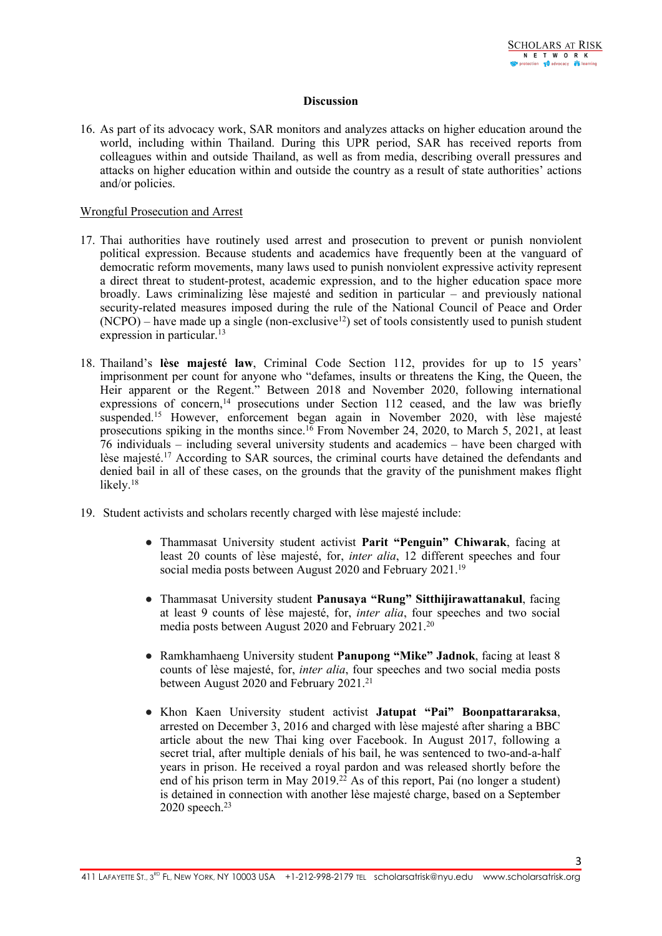#### **Discussion**

16. As par<sup>t</sup> of its advocacy work, SAR monitors and analyzes attacks on higher education around the world, including within Thailand. During this UPR period, SAR has received reports from colleagues within and outside Thailand, as well as from media, describing overall pressures and attacks on higher education within and outside the country as <sup>a</sup> result of state authorities' actions and/or policies.

# Wrongful Prosecution and Arrest

- 17. Thai authorities have routinely used arrest and prosecution to preven<sup>t</sup> or punish nonviolent political expression. Because students and academics have frequently been at the vanguard of democratic reform movements, many laws used to punish nonviolent expressive activity represen<sup>t</sup> <sup>a</sup> direct threat to student-protest, academic expression, and to the higher education space more broadly. Laws criminalizing lèse majesté and sedition in particular – and previously national security-related measures imposed during the rule of the National Council of Peace and Order  $(NCPO)$  – have made up a single (non-exclusive<sup>12</sup>) set of tools consistently used to punish student expression in particular. 13
- 18. Thailand'<sup>s</sup> **lèse majesté law**, Criminal Code Section 112, provides for up to 15 years' imprisonment per count for anyone who "defames, insults or threatens the King, the Queen, the Heir apparen<sup>t</sup> or the Regent." Between 2018 and November 2020, following international expressions of concern, 14 prosecutions under Section 112 ceased, and the law was briefly suspended. <sup>15</sup> However, enforcement began again in November 2020, with lèse majesté prosecutions spiking in the months since. 16 From November 24, 2020, to March 5, 2021, at least 76 individuals – including several university students and academics – have been charged with lèse majesté.<sup>17</sup> According to SAR sources, the criminal courts have detained the defendants and denied bail in all of these cases, on the grounds that the gravity of the punishment makes flight likely. 18
- 19. Student activists and scholars recently charged with lèse majesté include:
	- Thammasat University student activist **Parit "Penguin" Chiwarak**, facing at least 20 counts of lèse majesté, for, *inter alia*, 12 different speeches and four social media posts between August 2020 and February 2021. 19
	- Thammasat University student **Panusaya "Rung" Sitthijirawattanakul**, facing at least 9 counts of lèse majesté, for, *inter alia*, four speeches and two social media posts between August 2020 and February 2021. 20
	- Ramkhamhaeng University student **Panupong "Mike" Jadnok**, facing at least 8 counts of lèse majesté, for, *inter alia*, four speeches and two social media posts between August 2020 and February 2021. 21
	- Khon Kaen University student activist **Jatupat "Pai" Boonpattararaksa**, arrested on December 3, 2016 and charged with lèse majesté after sharing <sup>a</sup> BBC article about the new Thai king over Facebook. In August 2017, following <sup>a</sup> secret trial, after multiple denials of his bail, he was sentenced to two-and-a-half years in prison. He received <sup>a</sup> royal pardon and was released shortly before the end of his prison term in May 2019. <sup>22</sup> As of this report, Pai (no longer <sup>a</sup> student) is detained in connection with another lèse majesté charge, based on <sup>a</sup> September 2020 speech. 23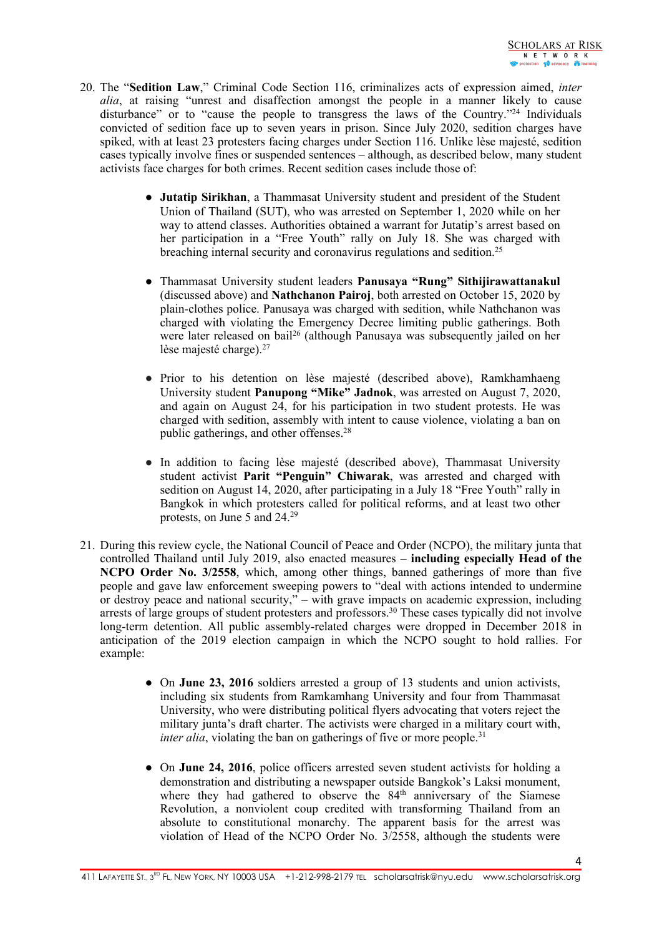- 20. The "**Sedition Law**," Criminal Code Section 116, criminalizes acts of expression aimed, *inter alia*, at raising "unrest and disaffection amongs<sup>t</sup> the people in <sup>a</sup> manner likely to cause disturbance" or to "cause the people to transgress the laws of the Country."<sup>24</sup> Individuals convicted of sedition face up to seven years in prison. Since July 2020, sedition charges have spiked, with at least 23 protesters facing charges under Section 116. Unlike lèse majesté, sedition cases typically involve fines or suspended sentences – although, as described below, many student activists face charges for both crimes. Recent sedition cases include those of:
	- **Jutatip Sirikhan**, <sup>a</sup> Thammasat University student and president of the Student Union of Thailand (SUT), who was arrested on September 1, 2020 while on her way to attend classes. Authorities obtained <sup>a</sup> warrant for Jutatip'<sup>s</sup> arrest based on her participation in <sup>a</sup> "Free Youth" rally on July 18. She was charged with breaching internal security and coronavirus regulations and sedition.<sup>25</sup>
	- Thammasat University student leaders **Panusaya "Rung" Sithijirawattanakul** (discussed above) and **Nathchanon Pairoj**, both arrested on October 15, 2020 by plain-clothes police. Panusaya was charged with sedition, while Nathchanon was charged with violating the Emergency Decree limiting public gatherings. Both were later released on bail<sup>26</sup> (although Panusaya was subsequently jailed on her lèse majesté charge). 27
	- Prior to his detention on lèse majesté (described above), Ramkhamhaeng University student **Panupong "Mike" Jadnok**, was arrested on August 7, 2020, and again on August 24, for his participation in two student protests. He was charged with sedition, assembly with intent to cause violence, violating <sup>a</sup> ban on public gatherings, and other offenses. 28
	- In addition to facing lèse majesté (described above), Thammasat University student activist **Parit "Penguin" Chiwarak**, was arrested and charged with sedition on August 14, 2020, after participating in <sup>a</sup> July 18 "Free Youth" rally in Bangkok in which protesters called for political reforms, and at least two other protests, on June 5 and 24.<sup>29</sup>
- 21. During this review cycle, the National Council of Peace and Order (NCPO), the military junta that controlled Thailand until July 2019, also enacted measures – **including especially Head of the NCPO Order No. 3/2558**, which, among other things, banned gatherings of more than five people and gave law enforcement sweeping powers to "deal with actions intended to undermine or destroy peace and national security," – with grave impacts on academic expression, including arrests of large groups of student protesters and professors. 30 These cases typically did not involve long-term detention. All public assembly-related charges were dropped in December 2018 in anticipation of the 2019 election campaign in which the NCPO sought to hold rallies. For example:
	- On **June 23, 2016** soldiers arrested <sup>a</sup> group of 13 students and union activists, including six students from Ramkamhang University and four from Thammasat University, who were distributing political flyers advocating that voters reject the military junta'<sup>s</sup> draft charter. The activists were charged in <sup>a</sup> military court with, *inter alia*, violating the ban on gatherings of five or more people.<sup>31</sup>
	- On **June 24, 2016**, police officers arrested seven student activists for holding a demonstration and distributing <sup>a</sup> newspaper outside Bangkok'<sup>s</sup> Laksi monument, where they had gathered to observe the 84<sup>th</sup> anniversary of the Siamese Revolution, <sup>a</sup> nonviolent coup credited with transforming Thailand from an absolute to constitutional monarchy. The apparen<sup>t</sup> basis for the arrest was violation of Head of the NCPO Order No. 3/2558, although the students were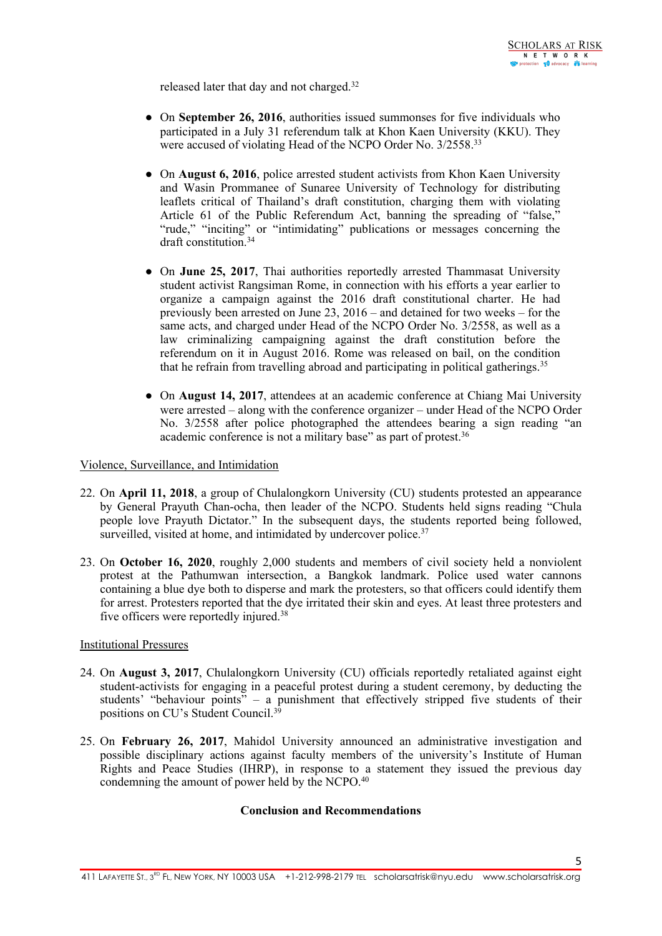released later that day and not charged.<sup>32</sup>

- On **September 26, 2016**, authorities issued summonses for five individuals who participated in <sup>a</sup> July 31 referendum talk at Khon Kaen University (KKU). They were accused of violating Head of the NCPO Order No. 3/2558.<sup>33</sup>
- On **August 6, 2016**, police arrested student activists from Khon Kaen University and Wasin Prommanee of Sunaree University of Technology for distributing leaflets critical of Thailand'<sup>s</sup> draft constitution, charging them with violating Article 61 of the Public Referendum Act, banning the spreading of "false," "rude," "inciting" or "intimidating" publications or messages concerning the draft constitution. 34
- On **June 25, 2017**, Thai authorities reportedly arrested Thammasat University student activist Rangsiman Rome, in connection with his efforts <sup>a</sup> year earlier to organize <sup>a</sup> campaign against the 2016 draft constitutional charter. He had previously been arrested on June 23, 2016 – and detained for two weeks – for the same acts, and charged under Head of the NCPO Order No. 3/2558, as well as <sup>a</sup> law criminalizing campaigning against the draft constitution before the referendum on it in August 2016. Rome was released on bail, on the condition that he refrain from travelling abroad and participating in political gatherings.<sup>35</sup>
- On **August 14, 2017**, attendees at an academic conference at Chiang Mai University were arrested – along with the conference organizer – under Head of the NCPO Order No. 3/2558 after police photographed the attendees bearing <sup>a</sup> sign reading "an academic conference is not a military base" as part of protest.<sup>36</sup>

# Violence, Surveillance, and Intimidation

- 22. On **April 11, 2018**, <sup>a</sup> group of Chulalongkorn University (CU) students protested an appearance by General Prayuth Chan-ocha, then leader of the NCPO. Students held signs reading "Chula people love Prayuth Dictator." In the subsequent days, the students reported being followed, surveilled, visited at home, and intimidated by undercover police.<sup>37</sup>
- 23. On **October 16, 2020**, roughly 2,000 students and members of civil society held <sup>a</sup> nonviolent protest at the Pathumwan intersection, <sup>a</sup> Bangkok landmark. Police used water cannons containing <sup>a</sup> blue dye both to disperse and mark the protesters, so that officers could identify them for arrest. Protesters reported that the dye irritated their skin and eyes. At least three protesters and five officers were reportedly injured.<sup>38</sup>

#### Institutional Pressures

- 24. On **August 3, 2017**, Chulalongkorn University (CU) officials reportedly retaliated against eight student-activists for engaging in <sup>a</sup> peaceful protest during <sup>a</sup> student ceremony, by deducting the students' "behaviour points" – <sup>a</sup> punishment that effectively stripped five students of their positions on CU'<sup>s</sup> Student Council. 39
- 25. On **February 26, 2017**, Mahidol University announced an administrative investigation and possible disciplinary actions against faculty members of the university'<sup>s</sup> Institute of Human Rights and Peace Studies (IHRP), in response to <sup>a</sup> statement they issued the previous day condemning the amount of power held by the NCPO. 40

# **Conclusion and Recommendations**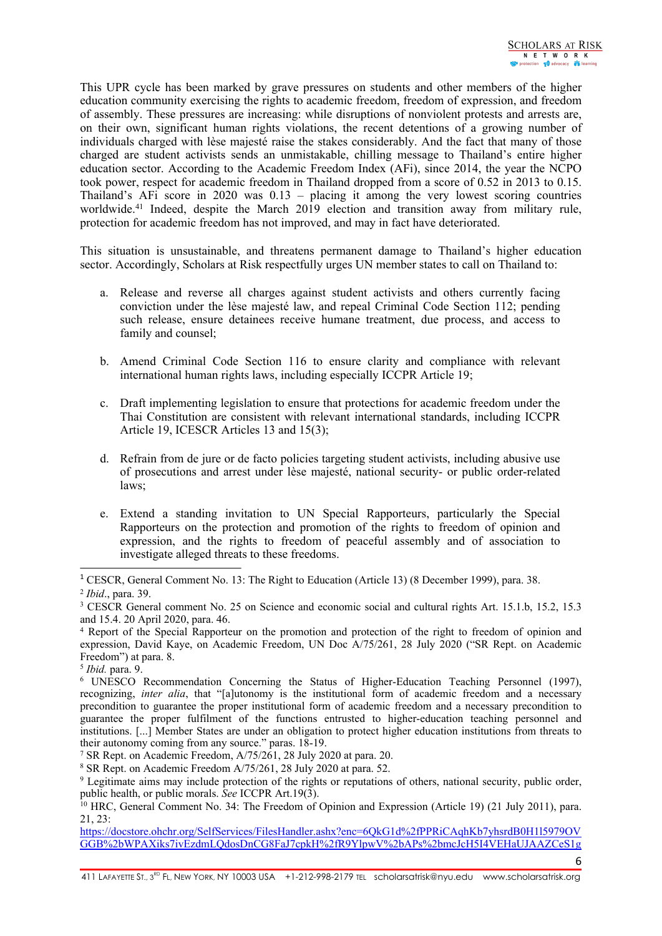6

This UPR cycle has been marked by grave pressures on students and other members of the higher education community exercising the rights to academic freedom, freedom of expression, and freedom of assembly. These pressures are increasing: while disruptions of nonviolent protests and arrests are, on their own, significant human rights violations, the recent detentions of <sup>a</sup> growing number of individuals charged with lèse majesté raise the stakes considerably. And the fact that many of those charged are student activists sends an unmistakable, chilling message to Thailand'<sup>s</sup> entire higher education sector. According to the Academic Freedom Index (AFi), since 2014, the year the NCPO took power, respec<sup>t</sup> for academic freedom in Thailand dropped from <sup>a</sup> score of 0.52 in 2013 to 0.15. Thailand'<sup>s</sup> AFi score in 2020 was 0.13 – placing it among the very lowest scoring countries worldwide. 41 Indeed, despite the March 2019 election and transition away from military rule, protection for academic freedom has not improved, and may in fact have deteriorated.

This situation is unsustainable, and threatens permanen<sup>t</sup> damage to Thailand'<sup>s</sup> higher education sector. Accordingly, Scholars at Risk respectfully urges UN member states to call on Thailand to:

- a. Release and reverse all charges against student activists and others currently facing conviction under the lèse majesté law, and repeal Criminal Code Section 112; pending such release, ensure detainees receive humane treatment, due process, and access to family and counsel;
- b. Amend Criminal Code Section 116 to ensure clarity and compliance with relevant international human rights laws, including especially ICCPR Article 19;
- c. Draft implementing legislation to ensure that protections for academic freedom under the Thai Constitution are consistent with relevant international standards, including ICCPR Article 19, ICESCR Articles 13 and 15(3);
- d. Refrain from de jure or de facto policies targeting student activists, including abusive use of prosecutions and arrest under lèse majesté, national security- or public order-related laws;
- e. Extend <sup>a</sup> standing invitation to UN Special Rapporteurs, particularly the Special Rapporteurs on the protection and promotion of the rights to freedom of opinion and expression, and the rights to freedom of peaceful assembly and of association to investigate alleged threats to these freedoms.

7 SR Rept. on Academic Freedom, A/75/261, 28 July 2020 at para. 20.

8 SR Rept. on Academic Freedom A/75/261, 28 July 2020 at para. 52.

<sup>1</sup> CESCR, General Comment No. 13: The Right to Education (Article 13) (8 December 1999), para. 38.

<sup>2</sup> *Ibid*., para. 39.

<sup>3</sup> CESCR General comment No. 25 on Science and economic social and cultural rights Art. 15.1.b, 15.2, 15.3 and 15.4. 20 April 2020, para. 46.

<sup>4</sup> Report of the Special Rapporteur on the promotion and protection of the right to freedom of opinion and expression, David Kaye, on Academic Freedom, UN Doc A/75/261, 28 July 2020 ("SR Rept. on Academic Freedom") at para. 8.

<sup>5</sup> *Ibid.* para. 9.

<sup>6</sup> UNESCO Recommendation Concerning the Status of Higher-Education Teaching Personnel (1997), recognizing, *inter alia*, that "[a]utonomy is the institutional form of academic freedom and <sup>a</sup> necessary precondition to guarantee the proper institutional form of academic freedom and <sup>a</sup> necessary precondition to guarantee the proper fulfilment of the functions entrusted to higher-education teaching personnel and institutions. [...] Member States are under an obligation to protect higher education institutions from threats to their autonomy coming from any source." paras. 18-19.

<sup>&</sup>lt;sup>9</sup> Legitimate aims may include protection of the rights or reputations of others, national security, public order, public health, or public morals. *See* ICCPR Art.19(3).

<sup>&</sup>lt;sup>10</sup> HRC, General Comment No. 34: The Freedom of Opinion and Expression (Article 19) (21 July 2011), para. 21, 23:

[https://docstore.ohchr.org/SelfServices/FilesHandler.ashx?enc=6QkG1d%2fPPRiCAqhKb7yhsrdB0H1l5979OV](https://docstore.ohchr.org/SelfServices/FilesHandler.ashx?enc=6QkG1d%2fPPRiCAqhKb7yhsrdB0H1l5979OVGGB%2bWPAXiks7ivEzdmLQdosDnCG8FaJ7cpkH%2fR9YlpwV%2bAPs%2bmcJcH5I4VEHaUJAAZCeS1gKdFOTIUSHQDT3EiNHS2mKlF) [GGB%2bWPAXiks7ivEzdmLQdosDnCG8FaJ7cpkH%2fR9YlpwV%2bAPs%2bmcJcH5I4VEHaUJAAZCeS1g](https://docstore.ohchr.org/SelfServices/FilesHandler.ashx?enc=6QkG1d%2fPPRiCAqhKb7yhsrdB0H1l5979OVGGB%2bWPAXiks7ivEzdmLQdosDnCG8FaJ7cpkH%2fR9YlpwV%2bAPs%2bmcJcH5I4VEHaUJAAZCeS1gKdFOTIUSHQDT3EiNHS2mKlF)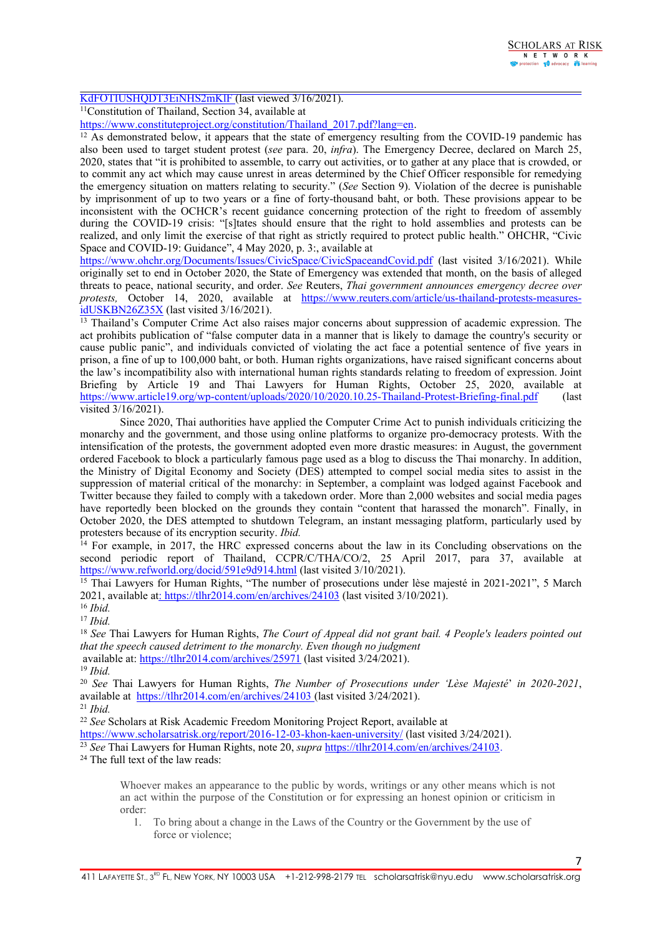[KdFOTIUSHQDT3EiNHS2mKlF](https://docstore.ohchr.org/SelfServices/FilesHandler.ashx?enc=6QkG1d%2fPPRiCAqhKb7yhsrdB0H1l5979OVGGB%2bWPAXiks7ivEzdmLQdosDnCG8FaJ7cpkH%2fR9YlpwV%2bAPs%2bmcJcH5I4VEHaUJAAZCeS1gKdFOTIUSHQDT3EiNHS2mKlF) (last viewed 3/16/2021).

<sup>11</sup>Constitution of Thailand, Section 34, available at

[https://www.constituteproject.org/constitution/Thailand\\_2017.pdf?lang=en](https://www.constituteproject.org/constitution/Thailand_2017.pdf?lang=en).

<sup>12</sup> As demonstrated below, it appears that the state of emergency resulting from the COVID-19 pandemic has also been used to target student protest (*see* para. 20, *infra*). The Emergency Decree, declared on March 25, 2020, states that "it is prohibited to assemble, to carry out activities, or to gather at any place that is crowded, or to commit any act which may cause unrest in areas determined by the Chief Officer responsible for remedying the emergency situation on matters relating to security." (*See* Section 9). Violation of the decree is punishable by imprisonment of up to two years or <sup>a</sup> fine of forty-thousand baht, or both. These provisions appear to be inconsistent with the OCHCR'<sup>s</sup> recent guidance concerning protection of the right to freedom of assembly during the COVID-19 crisis: "[s]tates should ensure that the right to hold assemblies and protests can be realized, and only limit the exercise of that right as strictly required to protect public health." OHCHR, "Civic Space and COVID-19: Guidance", 4 May 2020, p. 3:, available at

<https://www.ohchr.org/Documents/Issues/CivicSpace/CivicSpaceandCovid.pdf> (last visited 3/16/2021). While originally set to end in October 2020, the State of Emergency was extended that month, on the basis of alleged threats to peace, national security, and order. *See* Reuters, *Thai governmen<sup>t</sup> announces emergency decree over protests,* October 14, 2020, available at [https://www.reuters.com/article/us-thailand-protests-measures](https://www.reuters.com/article/us-thailand-protests-measures-idUSKBN26Z35X)[idUSKBN26Z35X](https://www.reuters.com/article/us-thailand-protests-measures-idUSKBN26Z35X) (last visited 3/16/2021).

<sup>13</sup> Thailand's Computer Crime Act also raises major concerns about suppression of academic expression. The act prohibits publication of "false computer data in <sup>a</sup> manner that is likely to damage the country's security or cause public panic", and individuals convicted of violating the act face <sup>a</sup> potential sentence of five years in prison, <sup>a</sup> fine of up to 100,000 baht, or both. Human rights organizations, have raised significant concerns about the law'<sup>s</sup> incompatibility also with international human rights standards relating to freedom of expression. Joint Briefing by Article 19 and Thai Lawyers for Human Rights, October 25, 2020, available at <https://www.article19.org/wp-content/uploads/2020/10/2020.10.25-Thailand-Protest-Briefing-final.pdf> (last visited 3/16/2021).

Since 2020, Thai authorities have applied the Computer Crime Act to punish individuals criticizing the monarchy and the government, and those using online platforms to organize pro-democracy protests. With the intensification of the protests, the governmen<sup>t</sup> adopted even more drastic measures: in August, the governmen<sup>t</sup> ordered Facebook to block <sup>a</sup> particularly famous page used as <sup>a</sup> blog to discuss the Thai monarchy. In addition, the Ministry of Digital Economy and Society (DES) attempted to compel social media sites to assist in the suppression of material critical of the monarchy: in September, <sup>a</sup> complaint was lodged against Facebook and Twitter because they failed to comply with <sup>a</sup> takedown order. More than 2,000 websites and social media pages have reportedly been blocked on the grounds they contain "content that harassed the monarch". Finally, in October 2020, the DES attempted to shutdown Telegram, an instant messaging platform, particularly used by protesters because of its encryption security. *Ibid.*

<sup>14</sup> For example, in 2017, the HRC expressed concerns about the law in its Concluding observations on the second periodic repor<sup>t</sup> of Thailand, CCPR/C/THA/CO/2, 25 April 2017, para 37, available at <https://www.refworld.org/docid/591e9d914.html> (last visited 3/10/2021).

<sup>15</sup> Thai Lawyers for Human Rights, "The number of prosecutions under lèse majesté in 2021-2021", 5 March 2021, available at: <https://tlhr2014.com/en/archives/24103> (last visited 3/10/2021).

16 *Ibid.*

17 *Ibid.*

18 *See* Thai Lawyers for Human Rights, *The Court of Appeal did not gran<sup>t</sup> bail. 4 People's leaders pointed out that the speech caused detriment to the monarchy. Even though no judgment* available at: <https://tlhr2014.com/archives/25971> (last visited 3/24/2021).

19 *Ibid.*

20 *See* Thai Lawyers for Human Rights, *The Number of Prosecutions under 'Lèse Majesté*' *in 2020-2021*, available at <https://tlhr2014.com/en/archives/24103> (last visited 3/24/2021).

21 *Ibid.*

22 *See* Scholars at Risk Academic Freedom Monitoring Project Report, available at

<https://www.scholarsatrisk.org/report/2016-12-03-khon-kaen-university/> (last visited 3/24/2021).

23 *See* Thai Lawyers for Human Rights, note 20, *supra* <https://tlhr2014.com/en/archives/24103>.

<sup>24</sup> The full text of the law reads:

Whoever makes an appearance to the public by words, writings or any other means which is not an act within the purpose of the Constitution or for expressing an honest opinion or criticism in order:

1. To bring about <sup>a</sup> change in the Laws of the Country or the Government by the use of force or violence;